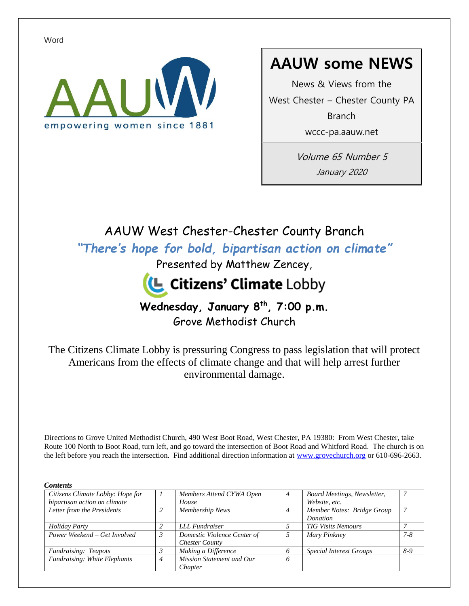Word



# **AAUW some NEWS**

News & Views from the West Chester – Chester County PA **Branch** wccc-pa.aauw.net

> Volume 65 Number 5 January 2020

# AAUW West Chester-Chester County Branch

*"There's hope for bold, bipartisan action on climate"*

Presented by Matthew Zencey,



## **Wednesday, January 8th, 7:00 p.m.** Grove Methodist Church

The Citizens Climate Lobby is pressuring Congress to pass legislation that will protect Americans from the effects of climate change and that will help arrest further environmental damage.

Directions to Grove United Methodist Church, 490 West Boot Road, West Chester, PA 19380: From West Chester, take Route 100 North to Boot Road, turn left, and go toward the intersection of Boot Road and Whitford Road. The church is on the left before you reach the intersection. Find additional direction information at www.grovechurch.org or 610-696-2663.

| <b>Contents</b>                  |   |                             |                |                                |         |
|----------------------------------|---|-----------------------------|----------------|--------------------------------|---------|
| Citizens Climate Lobby: Hope for |   | Members Attend CYWA Open    | $\overline{4}$ | Board Meetings, Newsletter,    |         |
| bipartisan action on climate     |   | House                       |                | Website, etc.                  |         |
| Letter from the Presidents       | っ | <b>Membership News</b>      |                | Member Notes: Bridge Group     |         |
|                                  |   |                             |                | Donation                       |         |
| Holiday Party                    |   | LLL Fundraiser              |                | <b>TIG Visits Nemours</b>      |         |
| Power Weekend – Get Involved     | 3 | Domestic Violence Center of |                | Mary Pinkney                   | $7 - 8$ |
|                                  |   | <b>Chester County</b>       |                |                                |         |
| <b>Fundraising: Teapots</b>      |   | Making a Difference         | 6              | <b>Special Interest Groups</b> | 8-9     |
| Fundraising: White Elephants     | 4 | Mission Statement and Our   | 6              |                                |         |
|                                  |   | Chapter                     |                |                                |         |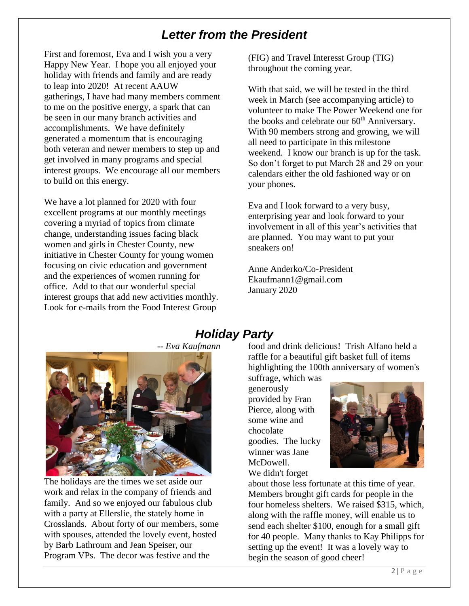# *Letter from the President*

First and foremost, Eva and I wish you a very Happy New Year. I hope you all enjoyed your holiday with friends and family and are ready to leap into 2020! At recent AAUW gatherings, I have had many members comment to me on the positive energy, a spark that can be seen in our many branch activities and accomplishments. We have definitely generated a momentum that is encouraging both veteran and newer members to step up and get involved in many programs and special interest groups. We encourage all our members to build on this energy.

We have a lot planned for 2020 with four excellent programs at our monthly meetings covering a myriad of topics from climate change, understanding issues facing black women and girls in Chester County, new initiative in Chester County for young women focusing on civic education and government and the experiences of women running for office. Add to that our wonderful special interest groups that add new activities monthly. Look for e-mails from the Food Interest Group

(FIG) and Travel Interesst Group (TIG) throughout the coming year.

With that said, we will be tested in the third week in March (see accompanying article) to volunteer to make The Power Weekend one for the books and celebrate our 60<sup>th</sup> Anniversary. With 90 members strong and growing, we will all need to participate in this milestone weekend. I know our branch is up for the task. So don't forget to put March 28 and 29 on your calendars either the old fashioned way or on your phones.

Eva and I look forward to a very busy, enterprising year and look forward to your involvement in all of this year's activities that are planned. You may want to put your sneakers on!

Anne Anderko/Co-President Ekaufmann1@gmail.com January 2020



#### The holidays are the times we set aside our work and relax in the company of friends and family. And so we enjoyed our fabulous club with a party at Ellerslie, the stately home in Crosslands. About forty of our members, some with spouses, attended the lovely event, hosted by Barb Lathroum and Jean Speiser, our Program VPs. The decor was festive and the

# *Holiday Party*

food and drink delicious! Trish Alfano held a raffle for a beautiful gift basket full of items highlighting the 100th anniversary of women's

suffrage, which was generously provided by Fran Pierce, along with some wine and chocolate goodies. The lucky winner was Jane McDowell. We didn't forget



about those less fortunate at this time of year. Members brought gift cards for people in the four homeless shelters. We raised \$315, which, along with the raffle money, will enable us to send each shelter \$100, enough for a small gift for 40 people. Many thanks to Kay Philipps for setting up the event! It was a lovely way to begin the season of good cheer!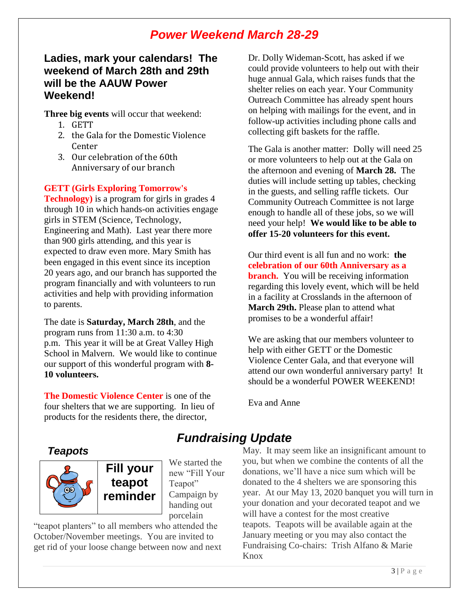# *Power Weekend March 28-29*

#### **Ladies, mark your calendars! The weekend of March 28th and 29th will be the AAUW Power Weekend!**

**Three big events** will occur that weekend:

- 1. GETT
- 2. the Gala for the Domestic Violence Center
- 3. Our celebration of the 60th Anniversary of our branch

#### **GETT (Girls Exploring Tomorrow's**

**Technology**) is a program for girls in grades 4 through 10 in which hands-on activities engage girls in STEM (Science, Technology, Engineering and Math). Last year there more than 900 girls attending, and this year is expected to draw even more. Mary Smith has been engaged in this event since its inception 20 years ago, and our branch has supported the program financially and with volunteers to run activities and help with providing information to parents.

The date is **Saturday, March 28th**, and the program runs from 11:30 a.m. to 4:30 p.m. This year it will be at Great Valley High School in Malvern. We would like to continue our support of this wonderful program with **8- 10 volunteers.**

**The Domestic Violence Center** is one of the four shelters that we are supporting. In lieu of products for the residents there, the director,

Dr. Dolly Wideman-Scott, has asked if we could provide volunteers to help out with their huge annual Gala, which raises funds that the shelter relies on each year. Your Community Outreach Committee has already spent hours on helping with mailings for the event, and in follow-up activities including phone calls and collecting gift baskets for the raffle.

The Gala is another matter: Dolly will need 25 or more volunteers to help out at the Gala on the afternoon and evening of **March 28.** The duties will include setting up tables, checking in the guests, and selling raffle tickets. Our Community Outreach Committee is not large enough to handle all of these jobs, so we will need your help! **We would like to be able to offer 15-20 volunteers for this event.**

Our third event is all fun and no work: **the celebration of our 60th Anniversary as a branch.** You will be receiving information regarding this lovely event, which will be held in a facility at Crosslands in the afternoon of **March 29th.** Please plan to attend what promises to be a wonderful affair!

We are asking that our members volunteer to help with either GETT or the Domestic Violence Center Gala, and that everyone will attend our own wonderful anniversary party! It should be a wonderful POWER WEEKEND!

Eva and Anne

#### *Teapots*



**Fill your teapot reminder**

We started the new "Fill Your Teapot" Campaign by handing out porcelain

"teapot planters" to all members who attended the October/November meetings. You are invited to get rid of your loose change between now and next

# *Fundraising Update*

May. It may seem like an insignificant amount to you, but when we combine the contents of all the donations, we'll have a nice sum which will be donated to the 4 shelters we are sponsoring this year. At our May 13, 2020 banquet you will turn in your donation and your decorated teapot and we will have a contest for the most creative teapots. Teapots will be available again at the January meeting or you may also contact the Fundraising Co-chairs: Trish Alfano & Marie Knox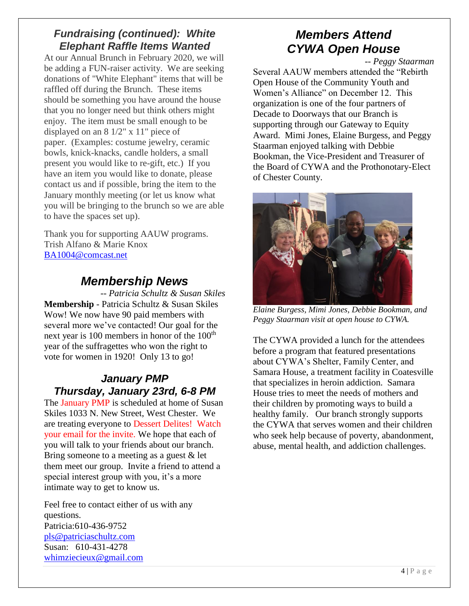#### *Fundraising (continued): White Elephant Raffle Items Wanted*

At our Annual Brunch in February 2020, we will be adding a FUN-raiser activity. We are seeking donations of "White Elephant" items that will be raffled off during the Brunch. These items should be something you have around the house that you no longer need but think others might enjoy. The item must be small enough to be displayed on an 8 1/2" x 11" piece of paper. (Examples: costume jewelry, ceramic bowls, knick-knacks, candle holders, a small present you would like to re-gift, etc.) If you have an item you would like to donate, please contact us and if possible, bring the item to the January monthly meeting (or let us know what you will be bringing to the brunch so we are able to have the spaces set up).

Thank you for supporting AAUW programs. Trish Alfano & Marie Knox BA1004@comcast.net

## *Membership News*

*-- Patricia Schultz & Susan Skiles* **Membership** - Patricia Schultz & Susan Skiles Wow! We now have 90 paid members with several more we've contacted! Our goal for the next year is  $100$  members in honor of the  $100<sup>th</sup>$ year of the suffragettes who won the right to vote for women in 1920! Only 13 to go!

#### *January PMP Thursday, January 23rd, 6-8 PM*

The January PMP is scheduled at home of Susan Skiles 1033 N. New Street, West Chester. We are treating everyone to Dessert Delites! Watch your email for the invite. We hope that each of you will talk to your friends about our branch. Bring someone to a meeting as a guest & let them meet our group. Invite a friend to attend a special interest group with you, it's a more intimate way to get to know us.

Feel free to contact either of us with any questions. Patricia:610-436-9752 pls@patriciaschultz.com Susan: 610-431-4278 whimziecieux@gmail.com

# *Members Attend CYWA Open House*

*-- Peggy Staarman*

Several AAUW members attended the "Rebirth Open House of the Community Youth and Women's Alliance" on December 12. This organization is one of the four partners of Decade to Doorways that our Branch is supporting through our Gateway to Equity Award. Mimi Jones, Elaine Burgess, and Peggy Staarman enjoyed talking with Debbie Bookman, the Vice-President and Treasurer of the Board of CYWA and the Prothonotary-Elect of Chester County.



*Elaine Burgess, Mimi Jones, Debbie Bookman, and Peggy Staarman visit at open house to CYWA.*

The CYWA provided a lunch for the attendees before a program that featured presentations about CYWA's Shelter, Family Center, and Samara House, a treatment facility in Coatesville that specializes in heroin addiction. Samara House tries to meet the needs of mothers and their children by promoting ways to build a healthy family. Our branch strongly supports the CYWA that serves women and their children who seek help because of poverty, abandonment, abuse, mental health, and addiction challenges.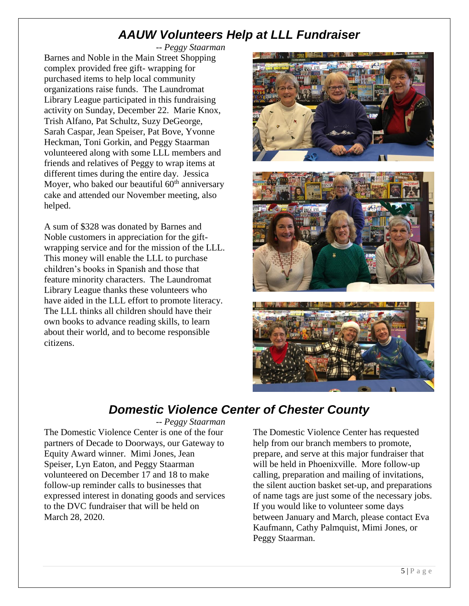# *AAUW Volunteers Help at LLL Fundraiser*

*-- Peggy Staarman* Barnes and Noble in the Main Street Shopping complex provided free gift- wrapping for purchased items to help local community organizations raise funds. The Laundromat Library League participated in this fundraising activity on Sunday, December 22. Marie Knox, Trish Alfano, Pat Schultz, Suzy DeGeorge, Sarah Caspar, Jean Speiser, Pat Bove, Yvonne Heckman, Toni Gorkin, and Peggy Staarman volunteered along with some LLL members and friends and relatives of Peggy to wrap items at different times during the entire day. Jessica Moyer, who baked our beautiful  $60<sup>th</sup>$  anniversary cake and attended our November meeting, also helped.

A sum of \$328 was donated by Barnes and Noble customers in appreciation for the giftwrapping service and for the mission of the LLL. This money will enable the LLL to purchase children's books in Spanish and those that feature minority characters. The Laundromat Library League thanks these volunteers who have aided in the LLL effort to promote literacy. The LLL thinks all children should have their own books to advance reading skills, to learn about their world, and to become responsible citizens.



# *Domestic Violence Center of Chester County*

*-- Peggy Staarman*

The Domestic Violence Center is one of the four partners of Decade to Doorways, our Gateway to Equity Award winner. Mimi Jones, Jean Speiser, Lyn Eaton, and Peggy Staarman volunteered on December 17 and 18 to make follow-up reminder calls to businesses that expressed interest in donating goods and services to the DVC fundraiser that will be held on March 28, 2020.

The Domestic Violence Center has requested help from our branch members to promote, prepare, and serve at this major fundraiser that will be held in Phoenixville. More follow-up calling, preparation and mailing of invitations, the silent auction basket set-up, and preparations of name tags are just some of the necessary jobs. If you would like to volunteer some days between January and March, please contact Eva Kaufmann, Cathy Palmquist, Mimi Jones, or Peggy Staarman.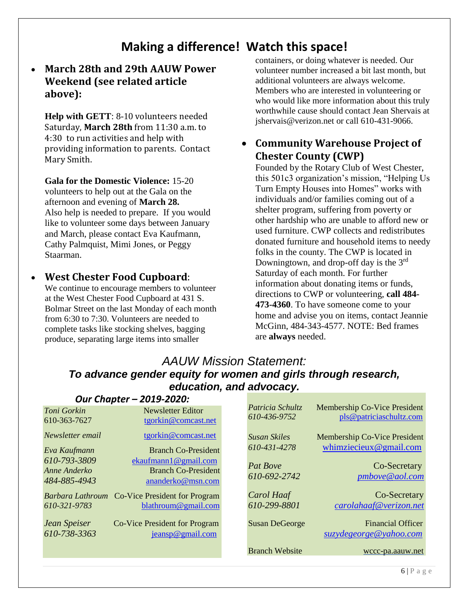# **Making a difference! Watch this space!**

#### • **March 28th and 29th AAUW Power Weekend (see related article above):**

**Help with GETT**: 8-10 volunteers needed Saturday, **March 28th** from 11:30 a.m. to 4:30 to run activities and help with providing information to parents. Contact Mary Smith.

**Gala for the Domestic Violence:** 15-20 volunteers to help out at the Gala on the afternoon and evening of **March 28.**  Also help is needed to prepare. If you would like to volunteer some days between January and March, please contact Eva Kaufmann, Cathy Palmquist, Mimi Jones, or Peggy Staarman.

#### • **West Chester Food Cupboard**:

We continue to encourage members to volunteer at the West Chester Food Cupboard at 431 S. Bolmar Street on the last Monday of each month from 6:30 to 7:30. Volunteers are needed to complete tasks like stocking shelves, bagging produce, separating large items into smaller

containers, or doing whatever is needed. Our volunteer number increased a bit last month, but additional volunteers are always welcome. Members who are interested in volunteering or who would like more information about this truly worthwhile cause should contact Jean Shervais at jshervais@verizon.net or call 610-431-9066.

#### • **Community Warehouse Project of Chester County (CWP)**

Founded by the Rotary Club of West Chester, this 501c3 organization's mission, "Helping Us Turn Empty Houses into Homes" works with individuals and/or families coming out of a shelter program, suffering from poverty or other hardship who are unable to afford new or used furniture. CWP collects and redistributes donated furniture and household items to needy folks in the county. The CWP is located in Downingtown, and drop-off day is the  $3<sup>rd</sup>$ Saturday of each month. For further information about donating items or funds, directions to CWP or volunteering, **call 484- 473-4360**. To have someone come to your home and advise you on items, contact Jeannie McGinn, 484-343-4577. NOTE: Bed frames are **always** needed.

#### *AAUW Mission Statement: To advance gender equity for women and girls through research, education, and advocacy.*

| Our Chapter - 2019-2020:                     |                                                                         |  |                                  |                                                         |  |
|----------------------------------------------|-------------------------------------------------------------------------|--|----------------------------------|---------------------------------------------------------|--|
| Toni Gorkin<br>610-363-7627                  | Newsletter Editor<br>tgorkin@comcast.net                                |  | Patricia Schultz<br>610-436-9752 | Membership Co-Vice President<br>pls@patriciaschultz.com |  |
| Newsletter email                             | tgorkin@comcast.net                                                     |  | <b>Susan Skiles</b>              | Membership Co-Vice President                            |  |
| Eva Kaufmann                                 | <b>Branch Co-President</b>                                              |  | 610-431-4278                     | whimziecieux@gmail.com                                  |  |
| 610-793-3809<br>Anne Anderko<br>484-885-4943 | ekaufmann1@gmail.com<br><b>Branch Co-President</b><br>ananderko@msn.com |  | <b>Pat Rove</b><br>610-692-2742  | Co-Secretary<br>pmbove@aol.com                          |  |
| Barbara Lathroum                             | <b>Co-Vice President for Program</b>                                    |  | <b>Carol Haaf</b>                | Co-Secretary                                            |  |
| 610-321-9783                                 | blathroum@gmail.com                                                     |  | 610-299-8801                     | carolahaaf@verizon.net                                  |  |
| Jean Speiser                                 | Co-Vice President for Program                                           |  | <b>Susan DeGeorge</b>            | <b>Financial Officer</b>                                |  |
| 610-738-3363                                 | jeansp@gmail.com                                                        |  |                                  | suzydegeorge@yahoo.com                                  |  |
|                                              |                                                                         |  | <b>Branch Website</b>            | wccc-pa.aauw.net                                        |  |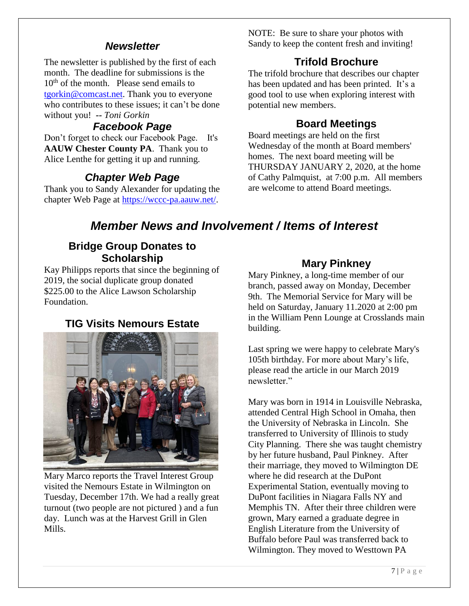#### *Newsletter*

The newsletter is published by the first of each month. The deadline for submissions is the  $10<sup>th</sup>$  of the month. Please send emails to tgorkin@comcast.net. Thank you to everyone who contributes to these issues; it can't be done without you! *-- Toni Gorkin*

#### *Facebook Page*

Don't forget to check our Facebook Page. It's **AAUW Chester County PA**. Thank you to Alice Lenthe for getting it up and running.

## *Chapter Web Page*

Thank you to Sandy Alexander for updating the chapter Web Page at https://wccc-pa.aauw.net/.

NOTE: Be sure to share your photos with Sandy to keep the content fresh and inviting!

### **Trifold Brochure**

The trifold brochure that describes our chapter has been updated and has been printed. It's a good tool to use when exploring interest with potential new members.

#### **Board Meetings**

Board meetings are held on the first Wednesday of the month at Board members' homes. The next board meeting will be THURSDAY JANUARY 2, 2020, at the home of Cathy Palmquist, at 7:00 p.m. All members are welcome to attend Board meetings.

# *Member News and Involvement / Items of Interest*

#### **Bridge Group Donates to Scholarship**

Kay Philipps reports that since the beginning of 2019, the social duplicate group donated \$225.00 to the Alice Lawson Scholarship Foundation.

### **TIG Visits Nemours Estate**



Mary Marco reports the Travel Interest Group visited the Nemours Estate in Wilmington on Tuesday, December 17th. We had a really great turnout (two people are not pictured ) and a fun day. Lunch was at the Harvest Grill in Glen Mills.

#### **Mary Pinkney**

Mary Pinkney, a long-time member of our branch, passed away on Monday, December 9th. The Memorial Service for Mary will be held on Saturday, January 11.2020 at 2:00 pm in the William Penn Lounge at Crosslands main building.

Last spring we were happy to celebrate Mary's 105th birthday. For more about Mary's life, please read the article in our March 2019 newsletter."

Mary was born in 1914 in Louisville Nebraska, attended Central High School in Omaha, then the University of Nebraska in Lincoln. She transferred to University of Illinois to study City Planning. There she was taught chemistry by her future husband, Paul Pinkney. After their marriage, they moved to Wilmington DE where he did research at the DuPont Experimental Station, eventually moving to DuPont facilities in Niagara Falls NY and Memphis TN. After their three children were grown, Mary earned a graduate degree in English Literature from the University of Buffalo before Paul was transferred back to Wilmington. They moved to Westtown PA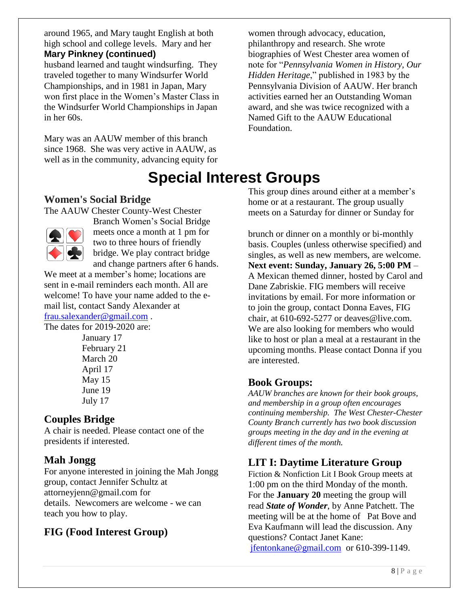around 1965, and Mary taught English at both high school and college levels. Mary and her **Mary Pinkney (continued)**

husband learned and taught windsurfing. They

traveled together to many Windsurfer World Championships, and in 1981 in Japan, Mary won first place in the Women's Master Class in the Windsurfer World Championships in Japan in her 60s.

Mary was an AAUW member of this branch since 1968. She was very active in AAUW, as well as in the community, advancing equity for

women through advocacy, education, philanthropy and research. She wrote biographies of West Chester area women of note for "*Pennsylvania Women in History, Our Hidden Heritage*," published in 1983 by the Pennsylvania Division of AAUW. Her branch activities earned her an Outstanding Woman award, and she was twice recognized with a Named Gift to the AAUW Educational Foundation.

# **Special Interest Groups**

#### **Women's Social Bridge**

The AAUW Chester County-West Chester



Branch Women's Social Bridge meets once a month at 1 pm for two to three hours of friendly bridge. We play contract bridge and change partners after 6 hands.

We meet at a member's home; locations are sent in e-mail reminders each month. All are welcome! To have your name added to the email list, contact Sandy Alexander at

frau.salexander@gmail.com .

The dates for 2019-2020 are:

January 17 February 21 March 20 April 17 May 15 June 19 July 17

### **Couples Bridge**

A chair is needed. Please contact one of the presidents if interested.

## **Mah Jongg**

For anyone interested in joining the Mah Jongg group, contact Jennifer Schultz at attorneyjenn@gmail.com for details. Newcomers are welcome - we can teach you how to play.

# **FIG (Food Interest Group)**

This group dines around either at a member's home or at a restaurant. The group usually meets on a Saturday for dinner or Sunday for

brunch or dinner on a monthly or bi-monthly basis. Couples (unless otherwise specified) and singles, as well as new members, are welcome. **Next event: Sunday, January 26, 5:00 PM** – A Mexican themed dinner, hosted by Carol and Dane Zabriskie. FIG members will receive invitations by email. For more information or to join the group, contact Donna Eaves, FIG chair, at 610-692-5277 or deaves@live.com. We are also looking for members who would like to host or plan a meal at a restaurant in the upcoming months. Please contact Donna if you are interested.

#### **Book Groups:**

*AAUW branches are known for their book groups, and membership in a group often encourages continuing membership. The West Chester-Chester County Branch currently has two book discussion groups meeting in the day and in the evening at different times of the month.* 

## **LIT I: Daytime Literature Group**

Fiction & Nonfiction Lit I Book Group meets at 1:00 pm on the third Monday of the month. For the **January 20** meeting the group will read *State of Wonder*, by Anne Patchett. The meeting will be at the home of Pat Bove and Eva Kaufmann will lead the discussion. Any questions? Contact Janet Kane: jfentonkane@gmail.com or 610-399-1149.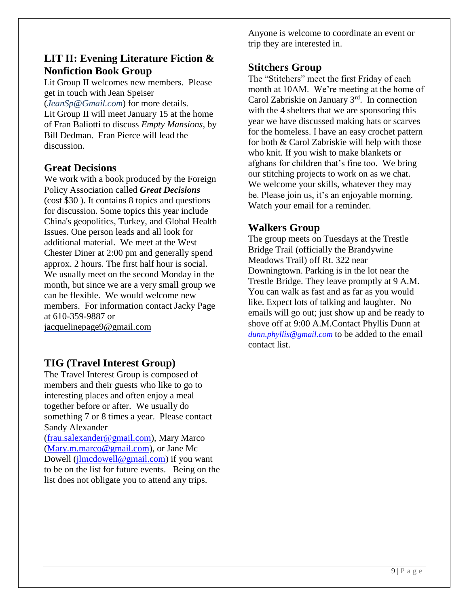#### **LIT II: Evening Literature Fiction & Nonfiction Book Group**

Lit Group II welcomes new members. Please get in touch with Jean Speiser (*JeanSp@Gmail.com*) for more details. Lit Group II will meet January 15 at the home of Fran Baliotti to discuss *Empty Mansions*, by Bill Dedman. Fran Pierce will lead the discussion.

#### **Great Decisions**

We work with a book produced by the Foreign Policy Association called *Great Decisions* (cost \$30 ). It contains 8 topics and questions for discussion. Some topics this year include China's geopolitics, Turkey, and Global Health Issues. One person leads and all look for additional material. We meet at the West Chester Diner at 2:00 pm and generally spend approx. 2 hours. The first half hour is social. We usually meet on the second Monday in the month, but since we are a very small group we can be flexible. We would welcome new members. For information contact Jacky Page at 610-359-9887 or jacquelinepage9@gmail.com

### **TIG (Travel Interest Group)**

The Travel Interest Group is composed of members and their guests who like to go to interesting places and often enjoy a meal together before or after. We usually do something 7 or 8 times a year. Please contact Sandy Alexander

(frau.salexander@gmail.com), Mary Marco (Mary.m.marco@gmail.com), or Jane Mc Dowell (jlmcdowell@gmail.com) if you want to be on the list for future events. Being on the list does not obligate you to attend any trips.

Anyone is welcome to coordinate an event or trip they are interested in.

#### **Stitchers Group**

The "Stitchers" meet the first Friday of each month at 10AM. We're meeting at the home of Carol Zabriskie on January 3rd. In connection with the 4 shelters that we are sponsoring this year we have discussed making hats or scarves for the homeless. I have an easy crochet pattern for both & Carol Zabriskie will help with those who knit. If you wish to make blankets or afghans for children that's fine too. We bring our stitching projects to work on as we chat. We welcome your skills, whatever they may be. Please join us, it's an enjoyable morning. Watch your email for a reminder.

#### **Walkers Group**

The group meets on Tuesdays at the Trestle Bridge Trail (officially the Brandywine Meadows Trail) off Rt. 322 near Downingtown. Parking is in the lot near the Trestle Bridge. They leave promptly at 9 A.M. You can walk as fast and as far as you would like. Expect lots of talking and laughter. No emails will go out; just show up and be ready to shove off at 9:00 A.M.Contact Phyllis Dunn at *dunn.phyllis@gmail.com* to be added to the email contact list.